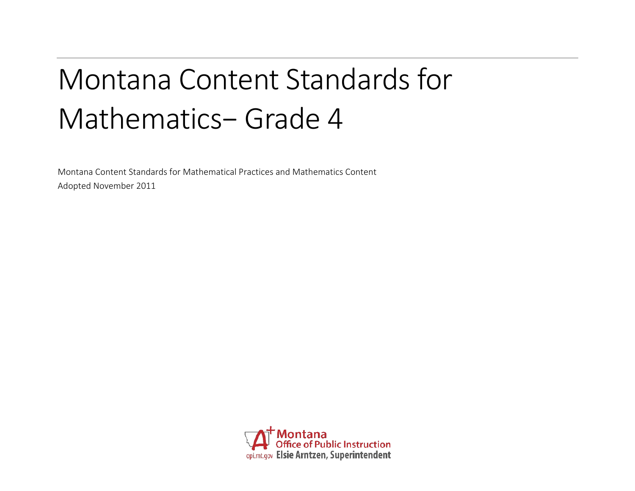# Montana Content Standards for Mathematics− Grade 4

Montana Content Standards for Mathematical Practices and Mathematics Content Adopted November 2011

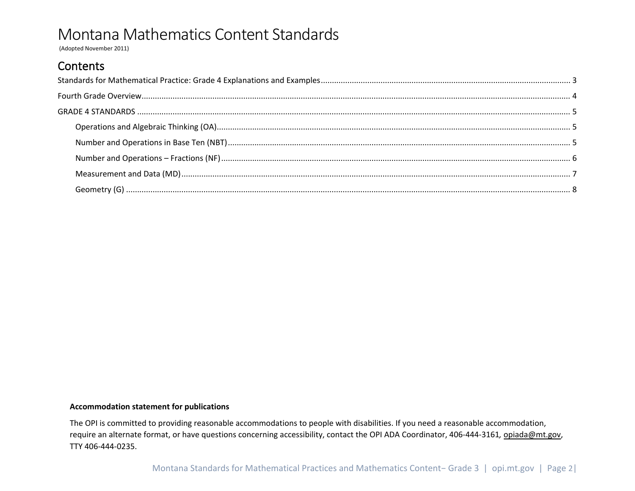(Adopted November 2011)

### Contents

#### **Accommodation statement for publications**

The OPI is committed to providing reasonable accommodations to people with disabilities. If you need a reasonable accommodation, require an alternate format, or have questions concerning accessibility, contact the OPI ADA Coordinator, 406-444-3161*,* [opiada@mt.gov,](mailto:opiada@mt.gov) TTY 406-444-0235.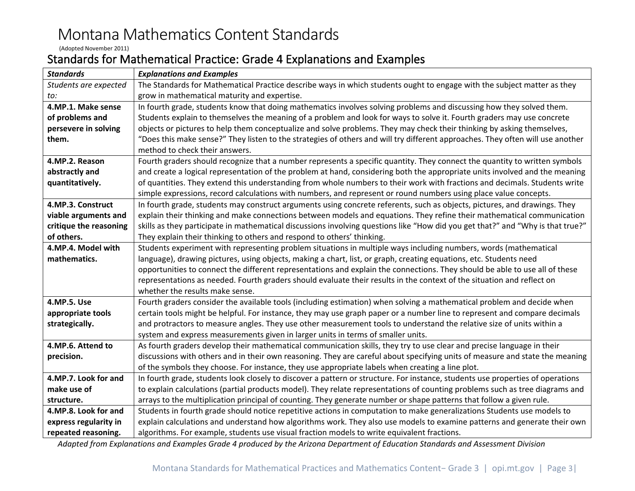(Adopted November 2011)

### <span id="page-2-0"></span>Standards for Mathematical Practice: Grade 4 Explanations and Examples

| <b>Standards</b>       | <b>Explanations and Examples</b>                                                                                                |  |  |  |  |
|------------------------|---------------------------------------------------------------------------------------------------------------------------------|--|--|--|--|
| Students are expected  | The Standards for Mathematical Practice describe ways in which students ought to engage with the subject matter as they         |  |  |  |  |
| to:                    | grow in mathematical maturity and expertise.                                                                                    |  |  |  |  |
| 4.MP.1. Make sense     | In fourth grade, students know that doing mathematics involves solving problems and discussing how they solved them.            |  |  |  |  |
| of problems and        | Students explain to themselves the meaning of a problem and look for ways to solve it. Fourth graders may use concrete          |  |  |  |  |
| persevere in solving   | objects or pictures to help them conceptualize and solve problems. They may check their thinking by asking themselves,          |  |  |  |  |
| them.                  | "Does this make sense?" They listen to the strategies of others and will try different approaches. They often will use another  |  |  |  |  |
|                        | method to check their answers.                                                                                                  |  |  |  |  |
| 4.MP.2. Reason         | Fourth graders should recognize that a number represents a specific quantity. They connect the quantity to written symbols      |  |  |  |  |
| abstractly and         | and create a logical representation of the problem at hand, considering both the appropriate units involved and the meaning     |  |  |  |  |
| quantitatively.        | of quantities. They extend this understanding from whole numbers to their work with fractions and decimals. Students write      |  |  |  |  |
|                        | simple expressions, record calculations with numbers, and represent or round numbers using place value concepts.                |  |  |  |  |
| 4.MP.3. Construct      | In fourth grade, students may construct arguments using concrete referents, such as objects, pictures, and drawings. They       |  |  |  |  |
| viable arguments and   | explain their thinking and make connections between models and equations. They refine their mathematical communication          |  |  |  |  |
| critique the reasoning | skills as they participate in mathematical discussions involving questions like "How did you get that?" and "Why is that true?" |  |  |  |  |
| of others.             | They explain their thinking to others and respond to others' thinking.                                                          |  |  |  |  |
| 4.MP.4. Model with     | Students experiment with representing problem situations in multiple ways including numbers, words (mathematical                |  |  |  |  |
| mathematics.           | language), drawing pictures, using objects, making a chart, list, or graph, creating equations, etc. Students need              |  |  |  |  |
|                        | opportunities to connect the different representations and explain the connections. They should be able to use all of these     |  |  |  |  |
|                        | representations as needed. Fourth graders should evaluate their results in the context of the situation and reflect on          |  |  |  |  |
|                        | whether the results make sense.                                                                                                 |  |  |  |  |
| 4.MP.5. Use            | Fourth graders consider the available tools (including estimation) when solving a mathematical problem and decide when          |  |  |  |  |
| appropriate tools      | certain tools might be helpful. For instance, they may use graph paper or a number line to represent and compare decimals       |  |  |  |  |
| strategically.         | and protractors to measure angles. They use other measurement tools to understand the relative size of units within a           |  |  |  |  |
|                        | system and express measurements given in larger units in terms of smaller units.                                                |  |  |  |  |
| 4.MP.6. Attend to      | As fourth graders develop their mathematical communication skills, they try to use clear and precise language in their          |  |  |  |  |
| precision.             | discussions with others and in their own reasoning. They are careful about specifying units of measure and state the meaning    |  |  |  |  |
|                        | of the symbols they choose. For instance, they use appropriate labels when creating a line plot.                                |  |  |  |  |
| 4.MP.7. Look for and   | In fourth grade, students look closely to discover a pattern or structure. For instance, students use properties of operations  |  |  |  |  |
| make use of            | to explain calculations (partial products model). They relate representations of counting problems such as tree diagrams and    |  |  |  |  |
| structure.             | arrays to the multiplication principal of counting. They generate number or shape patterns that follow a given rule.            |  |  |  |  |
| 4.MP.8. Look for and   | Students in fourth grade should notice repetitive actions in computation to make generalizations Students use models to         |  |  |  |  |
| express regularity in  | explain calculations and understand how algorithms work. They also use models to examine patterns and generate their own        |  |  |  |  |
| repeated reasoning.    | algorithms. For example, students use visual fraction models to write equivalent fractions.                                     |  |  |  |  |

*Adapted from Explanations and Examples Grade 4 produced by the Arizona Department of Education Standards and Assessment Division*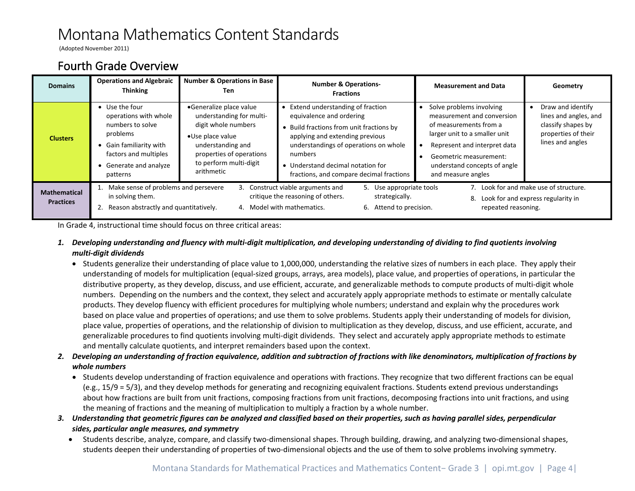(Adopted November 2011)

### <span id="page-3-0"></span>Fourth Grade Overview

| <b>Domains</b>                          | <b>Operations and Algebraic</b><br><b>Thinking</b>                                                                                                                | <b>Number &amp; Operations in Base</b><br>Ten.                                                                                                                                          | <b>Number &amp; Operations-</b><br><b>Fractions</b>                                                                                                                                                                                                                            | <b>Measurement and Data</b>                                                                                                                                                                                                       | Geometry                                                                                                    |
|-----------------------------------------|-------------------------------------------------------------------------------------------------------------------------------------------------------------------|-----------------------------------------------------------------------------------------------------------------------------------------------------------------------------------------|--------------------------------------------------------------------------------------------------------------------------------------------------------------------------------------------------------------------------------------------------------------------------------|-----------------------------------------------------------------------------------------------------------------------------------------------------------------------------------------------------------------------------------|-------------------------------------------------------------------------------------------------------------|
| <b>Clusters</b>                         | • Use the four<br>operations with whole<br>numbers to solve<br>problems<br>• Gain familiarity with<br>factors and multiples<br>• Generate and analyze<br>patterns | •Generalize place value<br>understanding for multi-<br>digit whole numbers<br>•Use place value<br>understanding and<br>properties of operations<br>to perform multi-digit<br>arithmetic | Extend understanding of fraction<br>equivalence and ordering<br>Build fractions from unit fractions by<br>applying and extending previous<br>understandings of operations on whole<br>numbers<br>• Understand decimal notation for<br>fractions, and compare decimal fractions | Solve problems involving<br>measurement and conversion<br>of measurements from a<br>larger unit to a smaller unit<br>Represent and interpret data<br>Geometric measurement:<br>understand concepts of angle<br>and measure angles | Draw and identify<br>lines and angles, and<br>classify shapes by<br>properties of their<br>lines and angles |
| <b>Mathematical</b><br><b>Practices</b> | Make sense of problems and persevere<br>in solving them.<br>Reason abstractly and quantitatively.                                                                 |                                                                                                                                                                                         | 3. Construct viable arguments and<br>5. Use appropriate tools<br>critique the reasoning of others.<br>strategically.<br>4. Model with mathematics.<br>6. Attend to precision.                                                                                                  | repeated reasoning.                                                                                                                                                                                                               | 7. Look for and make use of structure.<br>8. Look for and express regularity in                             |

In Grade 4, instructional time should focus on three critical areas:

- *1. Developing understanding and fluency with multi-digit multiplication, and developing understanding of dividing to find quotients involving multi-digit dividends*
	- Students generalize their understanding of place value to 1,000,000, understanding the relative sizes of numbers in each place. They apply their understanding of models for multiplication (equal-sized groups, arrays, area models), place value, and properties of operations, in particular the distributive property, as they develop, discuss, and use efficient, accurate, and generalizable methods to compute products of multi-digit whole numbers. Depending on the numbers and the context, they select and accurately apply appropriate methods to estimate or mentally calculate products. They develop fluency with efficient procedures for multiplying whole numbers; understand and explain why the procedures work based on place value and properties of operations; and use them to solve problems. Students apply their understanding of models for division, place value, properties of operations, and the relationship of division to multiplication as they develop, discuss, and use efficient, accurate, and generalizable procedures to find quotients involving multi-digit dividends. They select and accurately apply appropriate methods to estimate and mentally calculate quotients, and interpret remainders based upon the context.
- *2. Developing an understanding of fraction equivalence, addition and subtraction of fractions with like denominators, multiplication of fractions by whole numbers*
	- Students develop understanding of fraction equivalence and operations with fractions. They recognize that two different fractions can be equal (e.g., 15/9 = 5/3), and they develop methods for generating and recognizing equivalent fractions. Students extend previous understandings about how fractions are built from unit fractions, composing fractions from unit fractions, decomposing fractions into unit fractions, and using the meaning of fractions and the meaning of multiplication to multiply a fraction by a whole number.
- *3. Understanding that geometric figures can be analyzed and classified based on their properties, such as having parallel sides, perpendicular sides, particular angle measures, and symmetry*
	- Students describe, analyze, compare, and classify two-dimensional shapes. Through building, drawing, and analyzing two-dimensional shapes, students deepen their understanding of properties of two-dimensional objects and the use of them to solve problems involving symmetry.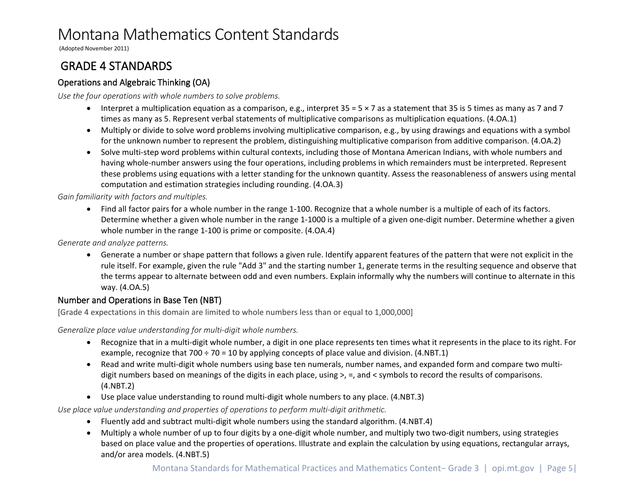(Adopted November 2011)

### <span id="page-4-0"></span>GRADE 4 STANDARDS

#### <span id="page-4-1"></span>Operations and Algebraic Thinking (OA)

*Use the four operations with whole numbers to solve problems.*

- Interpret a multiplication equation as a comparison, e.g., interpret  $35 = 5 \times 7$  as a statement that 35 is 5 times as many as 7 and 7 times as many as 5. Represent verbal statements of multiplicative comparisons as multiplication equations. (4.OA.1)
- Multiply or divide to solve word problems involving multiplicative comparison, e.g., by using drawings and equations with a symbol for the unknown number to represent the problem, distinguishing multiplicative comparison from additive comparison. (4.OA.2)
- Solve multi-step word problems within cultural contexts, including those of Montana American Indians, with whole numbers and having whole-number answers using the four operations, including problems in which remainders must be interpreted. Represent these problems using equations with a letter standing for the unknown quantity. Assess the reasonableness of answers using mental computation and estimation strategies including rounding. (4.OA.3)

*Gain familiarity with factors and multiples.*

• Find all factor pairs for a whole number in the range 1-100. Recognize that a whole number is a multiple of each of its factors. Determine whether a given whole number in the range 1-1000 is a multiple of a given one-digit number. Determine whether a given whole number in the range 1-100 is prime or composite. (4.OA.4)

*Generate and analyze patterns.*

• Generate a number or shape pattern that follows a given rule. Identify apparent features of the pattern that were not explicit in the rule itself. For example, given the rule "Add 3" and the starting number 1, generate terms in the resulting sequence and observe that the terms appear to alternate between odd and even numbers. Explain informally why the numbers will continue to alternate in this way. (4.OA.5)

#### <span id="page-4-2"></span>Number and Operations in Base Ten (NBT)

[Grade 4 expectations in this domain are limited to whole numbers less than or equal to 1,000,000]

*Generalize place value understanding for multi-digit whole numbers.*

- Recognize that in a multi-digit whole number, a digit in one place represents ten times what it represents in the place to its right. For example, recognize that  $700 \div 70 = 10$  by applying concepts of place value and division. (4.NBT.1)
- Read and write multi-digit whole numbers using base ten numerals, number names, and expanded form and compare two multidigit numbers based on meanings of the digits in each place, using >, =, and < symbols to record the results of comparisons. (4.NBT.2)
- Use place value understanding to round multi-digit whole numbers to any place. (4.NBT.3)

*Use place value understanding and properties of operations to perform multi-digit arithmetic.*

- Fluently add and subtract multi-digit whole numbers using the standard algorithm. (4.NBT.4)
- Multiply a whole number of up to four digits by a one-digit whole number, and multiply two two-digit numbers, using strategies based on place value and the properties of operations. Illustrate and explain the calculation by using equations, rectangular arrays, and/or area models. (4.NBT.5)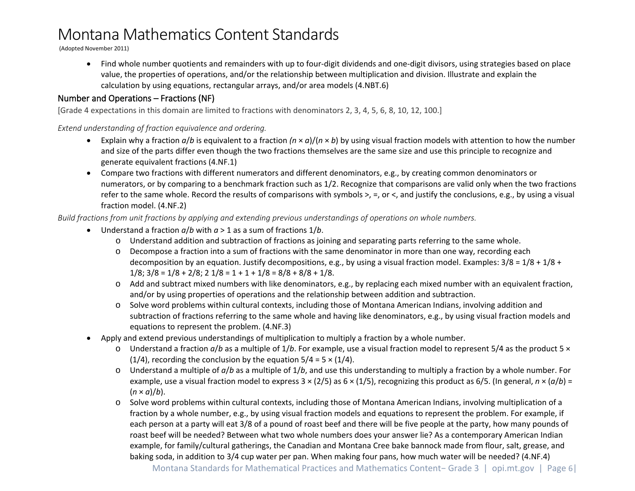(Adopted November 2011)

• Find whole number quotients and remainders with up to four-digit dividends and one-digit divisors, using strategies based on place value, the properties of operations, and/or the relationship between multiplication and division. Illustrate and explain the calculation by using equations, rectangular arrays, and/or area models (4.NBT.6)

#### <span id="page-5-0"></span>Number and Operations – Fractions (NF)

[Grade 4 expectations in this domain are limited to fractions with denominators 2, 3, 4, 5, 6, 8, 10, 12, 100.]

*Extend understanding of fraction equivalence and ordering.*

- Explain why a fraction  $a/b$  is equivalent to a fraction  $(n \times a)/(n \times b)$  by using visual fraction models with attention to how the number and size of the parts differ even though the two fractions themselves are the same size and use this principle to recognize and generate equivalent fractions (4.NF.1)
- Compare two fractions with different numerators and different denominators, e.g., by creating common denominators or numerators, or by comparing to a benchmark fraction such as 1/2. Recognize that comparisons are valid only when the two fractions refer to the same whole. Record the results of comparisons with symbols >, =, or <, and justify the conclusions, e.g., by using a visual fraction model. (4.NF.2)

*Build fractions from unit fractions by applying and extending previous understandings of operations on whole numbers.*

- Understand a fraction *a*/*b* with *a* > 1 as a sum of fractions 1/*b*.
	- o Understand addition and subtraction of fractions as joining and separating parts referring to the same whole.
	- o Decompose a fraction into a sum of fractions with the same denominator in more than one way, recording each decomposition by an equation. Justify decompositions, e.g., by using a visual fraction model. Examples:  $3/8 = 1/8 + 1/8 + 1/8 + 1/8$  $1/8$ ;  $3/8 = 1/8 + 2/8$ ;  $2 \frac{1}{8} = 1 + 1 + \frac{1}{8} = \frac{8}{8} + \frac{8}{8} + \frac{1}{8}$ .
	- o Add and subtract mixed numbers with like denominators, e.g., by replacing each mixed number with an equivalent fraction, and/or by using properties of operations and the relationship between addition and subtraction.
	- o Solve word problems within cultural contexts, including those of Montana American Indians, involving addition and subtraction of fractions referring to the same whole and having like denominators, e.g., by using visual fraction models and equations to represent the problem. (4.NF.3)
- Apply and extend previous understandings of multiplication to multiply a fraction by a whole number.
	- o Understand a fraction *a*/*b* as a multiple of 1/*b*. For example, use a visual fraction model to represent 5/4 as the product 5 × (1/4), recording the conclusion by the equation  $5/4 = 5 \times (1/4)$ .
	- o Understand a multiple of *a*/*b* as a multiple of 1/*b*, and use this understanding to multiply a fraction by a whole number. For example, use a visual fraction model to express 3 × (2/5) as 6 × (1/5), recognizing this product as 6/5. (In general, *n* × (*a*/*b*) =  $(n \times a)/b$ ).
	- o Solve word problems within cultural contexts, including those of Montana American Indians, involving multiplication of a fraction by a whole number, e.g., by using visual fraction models and equations to represent the problem. For example, if each person at a party will eat 3/8 of a pound of roast beef and there will be five people at the party, how many pounds of roast beef will be needed? Between what two whole numbers does your answer lie? As a contemporary American Indian example, for family/cultural gatherings, the Canadian and Montana Cree bake bannock made from flour, salt, grease, and baking soda, in addition to 3/4 cup water per pan. When making four pans, how much water will be needed? (4.NF.4)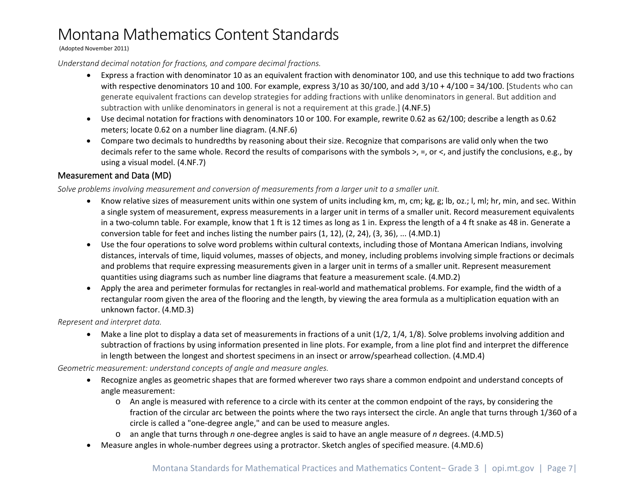#### (Adopted November 2011)

#### *Understand decimal notation for fractions, and compare decimal fractions.*

- Express a fraction with denominator 10 as an equivalent fraction with denominator 100, and use this technique to add two fractions with respective denominators 10 and 100. For example, express 3/10 as 30/100, and add 3/10 + 4/100 = 34/100. [Students who can generate equivalent fractions can develop strategies for adding fractions with unlike denominators in general. But addition and subtraction with unlike denominators in general is not a requirement at this grade.] (4.NF.5)
- Use decimal notation for fractions with denominators 10 or 100. For example, rewrite 0.62 as 62/100; describe a length as 0.62 meters; locate 0.62 on a number line diagram. (4.NF.6)
- Compare two decimals to hundredths by reasoning about their size. Recognize that comparisons are valid only when the two decimals refer to the same whole. Record the results of comparisons with the symbols >, =, or <, and justify the conclusions, e.g., by using a visual model. (4.NF.7)

#### <span id="page-6-0"></span>Measurement and Data (MD)

*Solve problems involving measurement and conversion of measurements from a larger unit to a smaller unit.*

- Know relative sizes of measurement units within one system of units including km, m, cm; kg, g; lb, oz.; l, ml; hr, min, and sec. Within a single system of measurement, express measurements in a larger unit in terms of a smaller unit. Record measurement equivalents in a two-column table. For example, know that 1 ft is 12 times as long as 1 in. Express the length of a 4 ft snake as 48 in. Generate a conversion table for feet and inches listing the number pairs (1, 12), (2, 24), (3, 36), ... (4.MD.1)
- Use the four operations to solve word problems within cultural contexts, including those of Montana American Indians, involving distances, intervals of time, liquid volumes, masses of objects, and money, including problems involving simple fractions or decimals and problems that require expressing measurements given in a larger unit in terms of a smaller unit. Represent measurement quantities using diagrams such as number line diagrams that feature a measurement scale. (4.MD.2)
- Apply the area and perimeter formulas for rectangles in real-world and mathematical problems. For example, find the width of a rectangular room given the area of the flooring and the length, by viewing the area formula as a multiplication equation with an unknown factor. (4.MD.3)

*Represent and interpret data.*

• Make a line plot to display a data set of measurements in fractions of a unit (1/2, 1/4, 1/8). Solve problems involving addition and subtraction of fractions by using information presented in line plots. For example, from a line plot find and interpret the difference in length between the longest and shortest specimens in an insect or arrow/spearhead collection. (4.MD.4)

*Geometric measurement: understand concepts of angle and measure angles.*

- Recognize angles as geometric shapes that are formed wherever two rays share a common endpoint and understand concepts of angle measurement:
	- o An angle is measured with reference to a circle with its center at the common endpoint of the rays, by considering the fraction of the circular arc between the points where the two rays intersect the circle. An angle that turns through 1/360 of a circle is called a "one-degree angle," and can be used to measure angles.
	- o an angle that turns through *n* one-degree angles is said to have an angle measure of *n* degrees. (4.MD.5)
- Measure angles in whole-number degrees using a protractor. Sketch angles of specified measure. (4.MD.6)